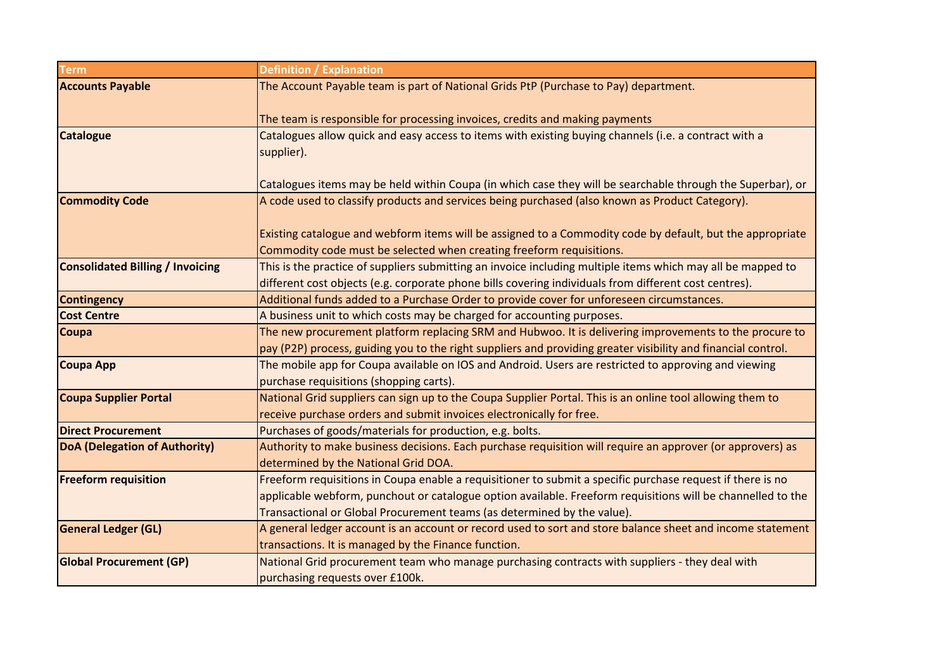| <b>Term</b>                             | <b>Definition / Explanation</b>                                                                               |
|-----------------------------------------|---------------------------------------------------------------------------------------------------------------|
| <b>Accounts Payable</b>                 | The Account Payable team is part of National Grids PtP (Purchase to Pay) department.                          |
|                                         |                                                                                                               |
|                                         | The team is responsible for processing invoices, credits and making payments                                  |
| <b>Catalogue</b>                        | Catalogues allow quick and easy access to items with existing buying channels (i.e. a contract with a         |
|                                         | supplier).                                                                                                    |
|                                         |                                                                                                               |
|                                         | Catalogues items may be held within Coupa (in which case they will be searchable through the Superbar), or    |
| <b>Commodity Code</b>                   | A code used to classify products and services being purchased (also known as Product Category).               |
|                                         |                                                                                                               |
|                                         | Existing catalogue and webform items will be assigned to a Commodity code by default, but the appropriate     |
|                                         | Commodity code must be selected when creating freeform requisitions.                                          |
| <b>Consolidated Billing / Invoicing</b> | This is the practice of suppliers submitting an invoice including multiple items which may all be mapped to   |
|                                         | different cost objects (e.g. corporate phone bills covering individuals from different cost centres).         |
| <b>Contingency</b>                      | Additional funds added to a Purchase Order to provide cover for unforeseen circumstances.                     |
| <b>Cost Centre</b>                      | A business unit to which costs may be charged for accounting purposes.                                        |
| <b>Coupa</b>                            | The new procurement platform replacing SRM and Hubwoo. It is delivering improvements to the procure to        |
|                                         | pay (P2P) process, guiding you to the right suppliers and providing greater visibility and financial control. |
| <b>Coupa App</b>                        | The mobile app for Coupa available on IOS and Android. Users are restricted to approving and viewing          |
|                                         | purchase requisitions (shopping carts).                                                                       |
| <b>Coupa Supplier Portal</b>            | National Grid suppliers can sign up to the Coupa Supplier Portal. This is an online tool allowing them to     |
|                                         | receive purchase orders and submit invoices electronically for free.                                          |
| <b>Direct Procurement</b>               | Purchases of goods/materials for production, e.g. bolts.                                                      |
| <b>DoA (Delegation of Authority)</b>    | Authority to make business decisions. Each purchase requisition will require an approver (or approvers) as    |
|                                         | determined by the National Grid DOA.                                                                          |
| <b>Freeform requisition</b>             | Freeform requisitions in Coupa enable a requisitioner to submit a specific purchase request if there is no    |
|                                         | applicable webform, punchout or catalogue option available. Freeform requisitions will be channelled to the   |
|                                         | Transactional or Global Procurement teams (as determined by the value).                                       |
| <b>General Ledger (GL)</b>              | A general ledger account is an account or record used to sort and store balance sheet and income statement    |
|                                         | transactions. It is managed by the Finance function.                                                          |
| <b>Global Procurement (GP)</b>          | National Grid procurement team who manage purchasing contracts with suppliers - they deal with                |
|                                         | purchasing requests over £100k.                                                                               |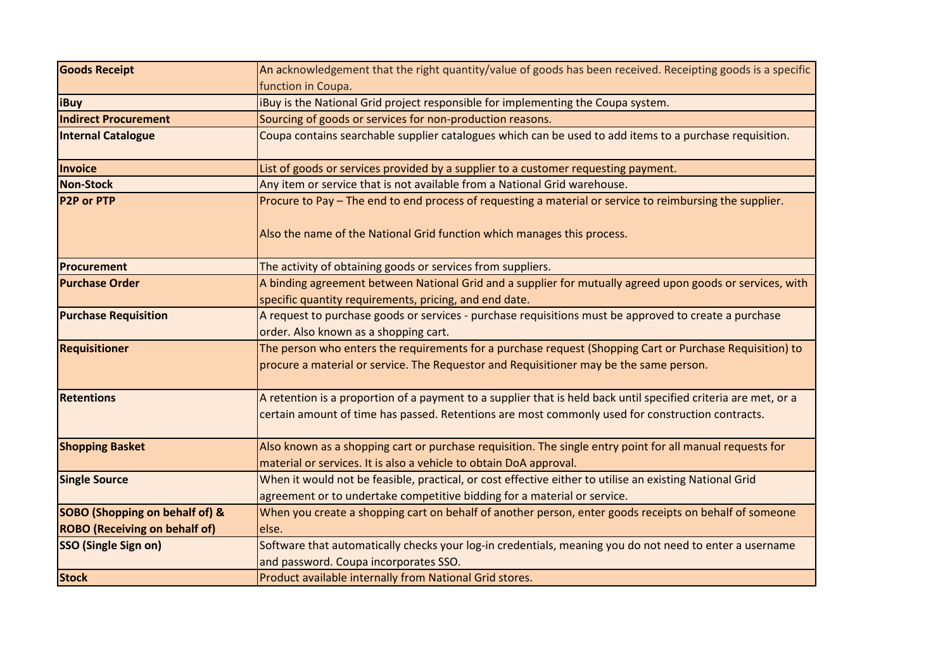| <b>Goods Receipt</b>                                                              | An acknowledgement that the right quantity/value of goods has been received. Receipting goods is a specific                                                                                                         |
|-----------------------------------------------------------------------------------|---------------------------------------------------------------------------------------------------------------------------------------------------------------------------------------------------------------------|
|                                                                                   | function in Coupa.                                                                                                                                                                                                  |
| <b>iBuy</b>                                                                       | iBuy is the National Grid project responsible for implementing the Coupa system.                                                                                                                                    |
| <b>Indirect Procurement</b>                                                       | Sourcing of goods or services for non-production reasons.                                                                                                                                                           |
| <b>Internal Catalogue</b>                                                         | Coupa contains searchable supplier catalogues which can be used to add items to a purchase requisition.                                                                                                             |
| Invoice                                                                           | List of goods or services provided by a supplier to a customer requesting payment.                                                                                                                                  |
| <b>Non-Stock</b>                                                                  | Any item or service that is not available from a National Grid warehouse.                                                                                                                                           |
| <b>P2P or PTP</b>                                                                 | Procure to Pay – The end to end process of requesting a material or service to reimbursing the supplier.<br>Also the name of the National Grid function which manages this process.                                 |
| <b>Procurement</b>                                                                | The activity of obtaining goods or services from suppliers.                                                                                                                                                         |
| <b>Purchase Order</b>                                                             | A binding agreement between National Grid and a supplier for mutually agreed upon goods or services, with<br>specific quantity requirements, pricing, and end date.                                                 |
| <b>Purchase Requisition</b>                                                       | A request to purchase goods or services - purchase requisitions must be approved to create a purchase<br>order. Also known as a shopping cart.                                                                      |
| <b>Requisitioner</b>                                                              | The person who enters the requirements for a purchase request (Shopping Cart or Purchase Requisition) to<br>procure a material or service. The Requestor and Requisitioner may be the same person.                  |
| <b>Retentions</b>                                                                 | A retention is a proportion of a payment to a supplier that is held back until specified criteria are met, or a<br>certain amount of time has passed. Retentions are most commonly used for construction contracts. |
| <b>Shopping Basket</b>                                                            | Also known as a shopping cart or purchase requisition. The single entry point for all manual requests for<br>material or services. It is also a vehicle to obtain DoA approval.                                     |
| <b>Single Source</b>                                                              | When it would not be feasible, practical, or cost effective either to utilise an existing National Grid<br>agreement or to undertake competitive bidding for a material or service.                                 |
| <b>SOBO (Shopping on behalf of) &amp;</b><br><b>ROBO</b> (Receiving on behalf of) | When you create a shopping cart on behalf of another person, enter goods receipts on behalf of someone<br>else.                                                                                                     |
| <b>SSO (Single Sign on)</b>                                                       | Software that automatically checks your log-in credentials, meaning you do not need to enter a username<br>and password. Coupa incorporates SSO.                                                                    |
| <b>Stock</b>                                                                      | Product available internally from National Grid stores.                                                                                                                                                             |